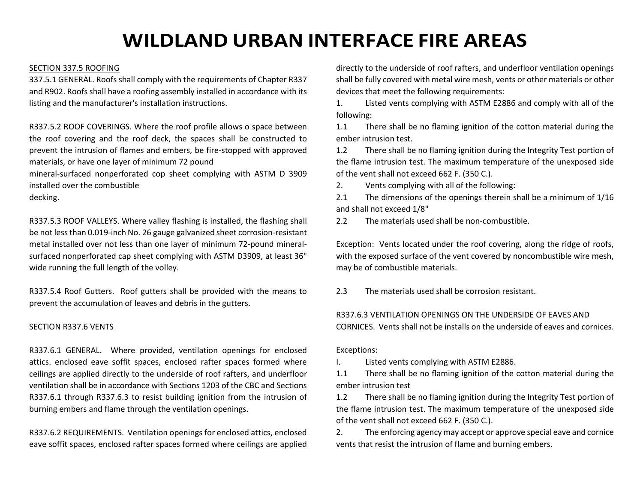# **WILDLAND URBAN INTERFACE FIRE AREAS**

# SECTION 337.5 ROOFING

337.5.1 GENERAL. Roofs shall comply with the requirements of Chapter R337 and R902. Roofs shall have a roofing assembly installed in accordance with its listing and the manufacturer's installation instructions.

R337.5.2 ROOF COVERINGS. Where the roof profile allows o space between the roof covering and the roof deck, the spaces shall be constructed to prevent the intrusion of flames and embers, be fire-stopped with approved materials, or have one layer of minimum 72 pound

mineral-surfaced nonperforated cop sheet complying with ASTM D 3909 installed over the combustible

decking.

R337.5.3 ROOF VALLEYS. Where valley flashing is installed, the flashing shall be not less than 0.019-inch No. 26 gauge galvanized sheet corrosion-resistant metal installed over not less than one layer of minimum 72-pound mineralsurfaced nonperforated cap sheet complying with ASTM D3909, at least 36" wide running the full length of the volley.

R337.5.4 Roof Gutters. Roof gutters shall be provided with the means to prevent the accumulation of leaves and debris in the gutters.

### SECTION R337.6 VENTS

R337.6.1 GENERAL. Where provided, ventilation openings for enclosed attics. enclosed eave soffit spaces, enclosed rafter spaces formed where ceilings are applied directly to the underside of roof rafters, and underfloor ventilation shall be in accordance with Sections 1203 of the CBC and Sections R337.6.1 through R337.6.3 to resist building ignition from the intrusion of burning embers and flame through the ventilation openings.

R337.6.2 REQUIREMENTS. Ventilation openings for enclosed attics, enclosed eave soffit spaces, enclosed rafter spaces formed where ceilings are applied directly to the underside of roof rafters, and underfloor ventilation openings shall be fully covered with metal wire mesh, vents or other materials or other devices that meet the following requirements:

1. Listed vents complying with ASTM E2886 and comply with all of the following:

1.1 There shall be no flaming ignition of the cotton material during the ember intrusion test.

1.2 There shall be no flaming ignition during the Integrity Test portion of the flame intrusion test. The maximum temperature of the unexposed side of the vent shall not exceed 662 F. (350 C.).

2. Vents complying with all of the following:

2.1 The dimensions of the openings therein shall be a minimum of  $1/16$ and shall not exceed 1/8"

2.2 The materials used shall be non-combustible.

Exception: Vents located under the roof covering, along the ridge of roofs, with the exposed surface of the vent covered by noncombustible wire mesh, may be of combustible materials.

2.3 The materials used shall be corrosion resistant.

# R337.6.3 VENTILATION OPENINGS ON THE UNDERSIDE OF EAVES AND

CORNICES. Vents shall not be installs on the underside of eaves and cornices.

Exceptions:

I. Listed vents complying with ASTM E2886.

1.1 There shall be no flaming ignition of the cotton material during the ember intrusion test

1.2 There shall be no flaming ignition during the Integrity Test portion of the flame intrusion test. The maximum temperature of the unexposed side of the vent shall not exceed 662 F. (350 C.).

2. The enforcing agency may accept or approve special eave and cornice vents that resist the intrusion of flame and burning embers.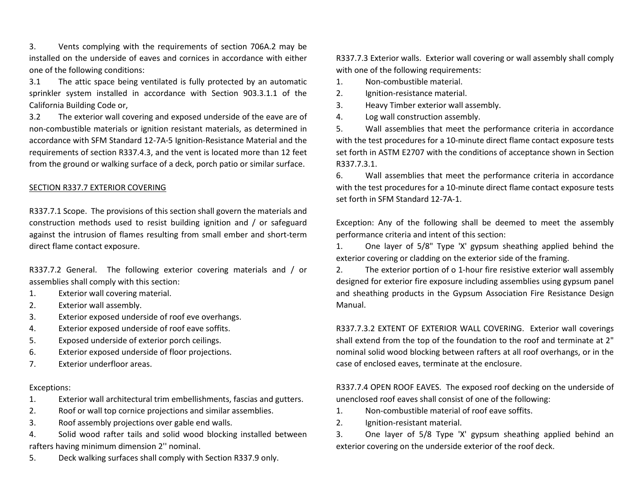3. Vents complying with the requirements of section 706A.2 may be installed on the underside of eaves and cornices in accordance with either one of the following conditions:

3.1 The attic space being ventilated is fully protected by an automatic sprinkler system installed in accordance with Section 903.3.1.1 of the California Building Code or,

3.2 The exterior wall covering and exposed underside of the eave are of non-combustible materials or ignition resistant materials, as determined in accordance with SFM Standard 12-7A-5 Ignition-Resistance Material and the requirements of section R337.4.3, and the vent is located more than 12 feet from the ground or walking surface of a deck, porch patio or similar surface.

# SECTION R337.7 EXTERIOR COVERING

R337.7.1 Scope. The provisions of this section shall govern the materials and construction methods used to resist building ignition and / or safeguard against the intrusion of flames resulting from small ember and short-term direct flame contact exposure.

R337.7.2 General. The following exterior covering materials and / or assemblies shall comply with this section:

- 1. Exterior wall covering material.
- 2. Exterior wall assembly.
- 3. Exterior exposed underside of roof eve overhangs.
- 4. Exterior exposed underside of roof eave soffits.
- 5. Exposed underside of exterior porch ceilings.
- 6. Exterior exposed underside of floor projections.
- 7. Exterior underfloor areas.

#### Exceptions:

- 1. Exterior wall architectural trim embellishments, fascias and gutters.
- 2. Roof or wall top cornice projections and similar assemblies.
- 3. Roof assembly projections over gable end walls.
- 4. Solid wood rafter tails and solid wood blocking installed between rafters having minimum dimension 2'' nominal.
- 5. Deck walking surfaces shall comply with Section R337.9 only.

R337.7.3 Exterior walls. Exterior wall covering or wall assembly shall comply with one of the following requirements:

- 1. Non-combustible material.
- 2. Ignition-resistance material.
- 3. Heavy Timber exterior wall assembly.
- 4. Log wall construction assembly.

5. Wall assemblies that meet the performance criteria in accordance with the test procedures for a 10-minute direct flame contact exposure tests set forth in ASTM E2707 with the conditions of acceptance shown in Section R337.7.3.1.

6. Wall assemblies that meet the performance criteria in accordance with the test procedures for a 10-minute direct flame contact exposure tests set forth in SFM Standard 12-7A-1.

Exception: Any of the following shall be deemed to meet the assembly performance criteria and intent of this section:

1. One layer of 5/8" Type 'X' gypsum sheathing applied behind the exterior covering or cladding on the exterior side of the framing.

2. The exterior portion of o 1-hour fire resistive exterior wall assembly designed for exterior fire exposure including assemblies using gypsum panel and sheathing products in the Gypsum Association Fire Resistance Design Manual.

R337.7.3.2 EXTENT OF EXTERIOR WALL COVERING. Exterior wall coverings shall extend from the top of the foundation to the roof and terminate at 2" nominal solid wood blocking between rafters at all roof overhangs, or in the case of enclosed eaves, terminate at the enclosure.

R337.7.4 OPEN ROOF EAVES. The exposed roof decking on the underside of unenclosed roof eaves shall consist of one of the following:

- 1. Non-combustible material of roof eave soffits.
- 2. Ignition-resistant material.

3. One layer of 5/8 Type 'X' gypsum sheathing applied behind an exterior covering on the underside exterior of the roof deck.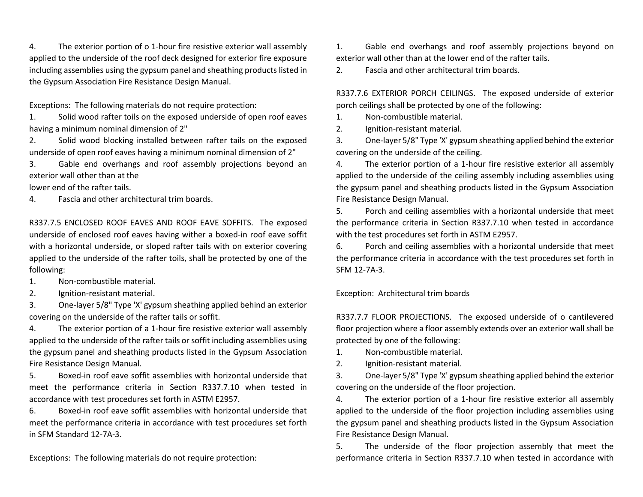4. The exterior portion of o 1-hour fire resistive exterior wall assembly applied to the underside of the roof deck designed for exterior fire exposure including assemblies using the gypsum panel and sheathing products listed in the Gypsum Association Fire Resistance Design Manual.

Exceptions: The following materials do not require protection:

1. Solid wood rafter toils on the exposed underside of open roof eaves having a minimum nominal dimension of 2"

2. Solid wood blocking installed between rafter tails on the exposed underside of open roof eaves having a minimum nominal dimension of 2"

3. Gable end overhangs and roof assembly projections beyond an exterior wall other than at the

lower end of the rafter tails.

4. Fascia and other architectural trim boards.

R337.7.5 ENCLOSED ROOF EAVES AND ROOF EAVE SOFFITS. The exposed underside of enclosed roof eaves having wither a boxed-in roof eave soffit with a horizontal underside, or sloped rafter tails with on exterior covering applied to the underside of the rafter toils, shall be protected by one of the following:

1. Non-combustible material.

2. Ignition-resistant material.

3. One-layer 5/8" Type 'X' gypsum sheathing applied behind an exterior covering on the underside of the rafter tails or soffit.

4. The exterior portion of a 1-hour fire resistive exterior wall assembly applied to the underside of the rafter tails or soffit including assemblies using the gypsum panel and sheathing products listed in the Gypsum Association Fire Resistance Design Manual.

5. Boxed-in roof eave soffit assemblies with horizontal underside that meet the performance criteria in Section R337.7.10 when tested in accordance with test procedures set forth in ASTM E2957.

6. Boxed-in roof eave soffit assemblies with horizontal underside that meet the performance criteria in accordance with test procedures set forth in SFM Standard 12-7A-3.

Exceptions: The following materials do not require protection:

1. Gable end overhangs and roof assembly projections beyond on exterior wall other than at the lower end of the rafter tails.

2. Fascia and other architectural trim boards.

R337.7.6 EXTERIOR PORCH CEILINGS. The exposed underside of exterior porch ceilings shall be protected by one of the following:

1. Non-combustible material.

2. Ignition-resistant material.

3. One-layer 5/8" Type 'X' gypsum sheathing applied behind the exterior covering on the underside of the ceiling.

4. The exterior portion of a 1-hour fire resistive exterior all assembly applied to the underside of the ceiling assembly including assemblies using the gypsum panel and sheathing products listed in the Gypsum Association Fire Resistance Design Manual.

5. Porch and ceiling assemblies with a horizontal underside that meet the performance criteria in Section R337.7.10 when tested in accordance with the test procedures set forth in ASTM E2957.

6. Porch and ceiling assemblies with a horizontal underside that meet the performance criteria in accordance with the test procedures set forth in SFM 12-7A-3.

Exception: Architectural trim boards

R337.7.7 FLOOR PROJECTIONS. The exposed underside of o cantilevered floor projection where a floor assembly extends over an exterior wall shall be protected by one of the following:

1. Non-combustible material.

2. Ignition-resistant material.

3. One-layer 5/8" Type 'X' gypsum sheathing applied behind the exterior covering on the underside of the floor projection.

4. The exterior portion of a 1-hour fire resistive exterior all assembly applied to the underside of the floor projection including assemblies using the gypsum panel and sheathing products listed in the Gypsum Association Fire Resistance Design Manual.

5. The underside of the floor projection assembly that meet the performance criteria in Section R337.7.10 when tested in accordance with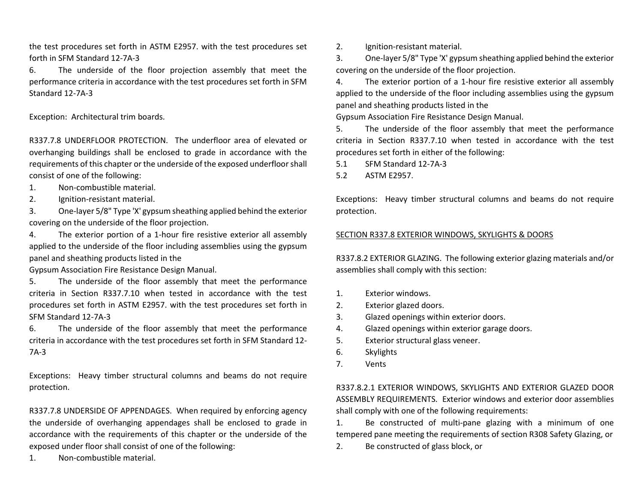the test procedures set forth in ASTM E2957. with the test procedures set forth in SFM Standard 12-7A-3

6. The underside of the floor projection assembly that meet the performance criteria in accordance with the test procedures set forth in SFM Standard 12-7A-3

Exception: Architectural trim boards.

R337.7.8 UNDERFLOOR PROTECTION. The underfloor area of elevated or overhanging buildings shall be enclosed to grade in accordance with the requirements of this chapter or the underside of the exposed underfloor shall consist of one of the following:

- 1. Non-combustible material.
- 2. Ignition-resistant material.

3. One-layer 5/8" Type 'X' gypsum sheathing applied behind the exterior covering on the underside of the floor projection.

4. The exterior portion of a 1-hour fire resistive exterior all assembly applied to the underside of the floor including assemblies using the gypsum panel and sheathing products listed in the

Gypsum Association Fire Resistance Design Manual.

5. The underside of the floor assembly that meet the performance criteria in Section R337.7.10 when tested in accordance with the test procedures set forth in ASTM E2957. with the test procedures set forth in SFM Standard 12-7A-3

6. The underside of the floor assembly that meet the performance criteria in accordance with the test procedures set forth in SFM Standard 12- 7A-3

Exceptions: Heavy timber structural columns and beams do not require protection.

R337.7.8 UNDERSIDE OF APPENDAGES. When required by enforcing agency the underside of overhanging appendages shall be enclosed to grade in accordance with the requirements of this chapter or the underside of the exposed under floor shall consist of one of the following:

1. Non-combustible material.

2. Ignition-resistant material.

3. One-layer 5/8" Type 'X' gypsum sheathing applied behind the exterior covering on the underside of the floor projection.

4. The exterior portion of a 1-hour fire resistive exterior all assembly applied to the underside of the floor including assemblies using the gypsum panel and sheathing products listed in the

Gypsum Association Fire Resistance Design Manual.

5. The underside of the floor assembly that meet the performance criteria in Section R337.7.10 when tested in accordance with the test procedures set forth in either of the following:

5.1 SFM Standard 12-7A-3

5.2 ASTM E2957.

Exceptions: Heavy timber structural columns and beams do not require protection.

# SECTION R337.8 EXTERIOR WINDOWS, SKYLIGHTS & DOORS

R337.8.2 EXTERIOR GLAZING. The following exterior glazing materials and/or assemblies shall comply with this section:

- 1. Exterior windows.
- 2. Exterior glazed doors.
- 3. Glazed openings within exterior doors.
- 4. Glazed openings within exterior garage doors.
- 5. Exterior structural glass veneer.
- 6. Skylights
- 7. Vents

R337.8.2.1 EXTERIOR WINDOWS, SKYLIGHTS AND EXTERIOR GLAZED DOOR ASSEMBLY REQUIREMENTS. Exterior windows and exterior door assemblies shall comply with one of the following requirements:

1. Be constructed of multi-pane glazing with a minimum of one tempered pane meeting the requirements of section R308 Safety Glazing, or

2. Be constructed of glass block, or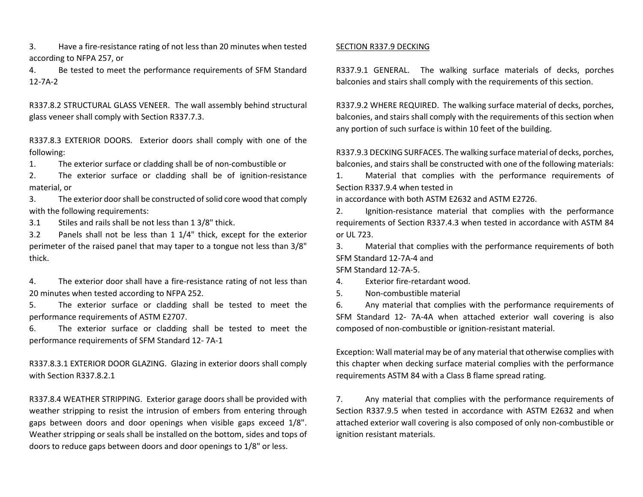3. Have a fire-resistance rating of not less than 20 minutes when tested according to NFPA 257, or

4. Be tested to meet the performance requirements of SFM Standard 12-7A-2

R337.8.2 STRUCTURAL GLASS VENEER. The wall assembly behind structural glass veneer shall comply with Section R337.7.3.

R337.8.3 EXTERIOR DOORS. Exterior doors shall comply with one of the following:

1. The exterior surface or cladding shall be of non-combustible or

2. The exterior surface or cladding shall be of ignition-resistance material, or

3. The exterior door shall be constructed of solid core wood that comply with the following requirements:

3.1 Stiles and rails shall be not less than 1 3/8" thick.

3.2 Panels shall not be less than 1 1/4" thick, except for the exterior perimeter of the raised panel that may taper to a tongue not less than 3/8" thick.

4. The exterior door shall have a fire-resistance rating of not less than 20 minutes when tested according to NFPA 252.

5. The exterior surface or cladding shall be tested to meet the performance requirements of ASTM E2707.

6. The exterior surface or cladding shall be tested to meet the performance requirements of SFM Standard 12- 7A-1

R337.8.3.1 EXTERIOR DOOR GLAZING. Glazing in exterior doors shall comply with Section R337.8.2.1

R337.8.4 WEATHER STRIPPING. Exterior garage doors shall be provided with weather stripping to resist the intrusion of embers from entering through gaps between doors and door openings when visible gaps exceed 1/8". Weather stripping or seals shall be installed on the bottom, sides and tops of doors to reduce gaps between doors and door openings to 1/8" or less.

#### SECTION R337.9 DECKING

R337.9.1 GENERAL. The walking surface materials of decks, porches balconies and stairs shall comply with the requirements of this section.

R337.9.2 WHERE REQUIRED. The walking surface material of decks, porches, balconies, and stairs shall comply with the requirements of this section when any portion of such surface is within 10 feet of the building.

R337.9.3 DECKING SURFACES. The walking surface material of decks, porches, balconies, and stairs shall be constructed with one of the following materials:

1. Material that complies with the performance requirements of Section R337.9.4 when tested in

in accordance with both ASTM E2632 and ASTM E2726.

2. Ignition-resistance material that complies with the performance requirements of Section R337.4.3 when tested in accordance with ASTM 84 or UL 723.

3. Material that complies with the performance requirements of both SFM Standard 12-7A-4 and

SFM Standard 12-7A-5.

4. Exterior fire-retardant wood.

5. Non-combustible material

6. Any material that complies with the performance requirements of SFM Standard 12- 7A-4A when attached exterior wall covering is also composed of non-combustible or ignition-resistant material.

Exception: Wall material may be of any material that otherwise complies with this chapter when decking surface material complies with the performance requirements ASTM 84 with a Class B flame spread rating.

7. Any material that complies with the performance requirements of Section R337.9.5 when tested in accordance with ASTM E2632 and when attached exterior wall covering is also composed of only non-combustible or ignition resistant materials.